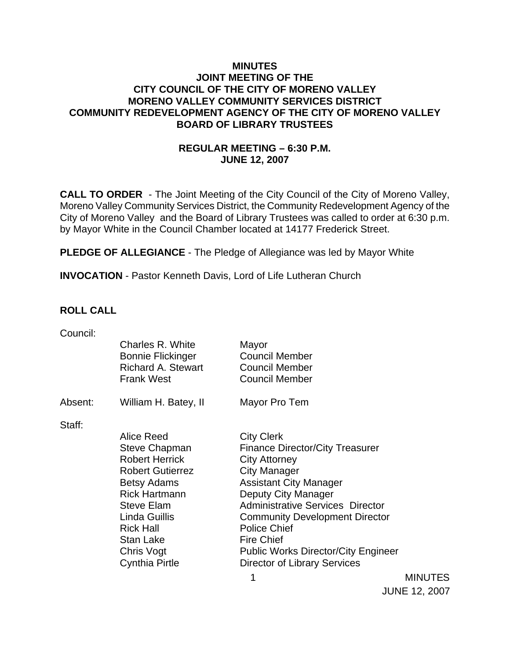### **MINUTES JOINT MEETING OF THE CITY COUNCIL OF THE CITY OF MORENO VALLEY MORENO VALLEY COMMUNITY SERVICES DISTRICT COMMUNITY REDEVELOPMENT AGENCY OF THE CITY OF MORENO VALLEY BOARD OF LIBRARY TRUSTEES**

# **REGULAR MEETING – 6:30 P.M. JUNE 12, 2007**

**CALL TO ORDER** - The Joint Meeting of the City Council of the City of Moreno Valley, Moreno Valley Community Services District, the Community Redevelopment Agency of the City of Moreno Valley and the Board of Library Trustees was called to order at 6:30 p.m. by Mayor White in the Council Chamber located at 14177 Frederick Street.

**PLEDGE OF ALLEGIANCE** - The Pledge of Allegiance was led by Mayor White

**INVOCATION** - Pastor Kenneth Davis, Lord of Life Lutheran Church

### **ROLL CALL**

| Charles R. White          | Mayor                                                                                                                                                                                  |
|---------------------------|----------------------------------------------------------------------------------------------------------------------------------------------------------------------------------------|
| <b>Bonnie Flickinger</b>  | <b>Council Member</b>                                                                                                                                                                  |
| <b>Richard A. Stewart</b> | <b>Council Member</b>                                                                                                                                                                  |
|                           | <b>Council Member</b>                                                                                                                                                                  |
|                           |                                                                                                                                                                                        |
|                           | Mayor Pro Tem                                                                                                                                                                          |
|                           |                                                                                                                                                                                        |
| Alice Reed                | <b>City Clerk</b>                                                                                                                                                                      |
| Steve Chapman             | <b>Finance Director/City Treasurer</b>                                                                                                                                                 |
| <b>Robert Herrick</b>     | <b>City Attorney</b>                                                                                                                                                                   |
| <b>Robert Gutierrez</b>   | <b>City Manager</b>                                                                                                                                                                    |
| <b>Betsy Adams</b>        | <b>Assistant City Manager</b>                                                                                                                                                          |
|                           | Deputy City Manager                                                                                                                                                                    |
|                           | <b>Administrative Services Director</b>                                                                                                                                                |
|                           | <b>Community Development Director</b>                                                                                                                                                  |
|                           | <b>Police Chief</b>                                                                                                                                                                    |
|                           | <b>Fire Chief</b>                                                                                                                                                                      |
|                           | <b>Public Works Director/City Engineer</b>                                                                                                                                             |
|                           | <b>Director of Library Services</b>                                                                                                                                                    |
|                           | <b>Frank West</b><br>William H. Batey, II<br><b>Rick Hartmann</b><br><b>Steve Elam</b><br>Linda Guillis<br><b>Rick Hall</b><br><b>Stan Lake</b><br>Chris Vogt<br><b>Cynthia Pirtle</b> |

1 MINUTES JUNE 12, 2007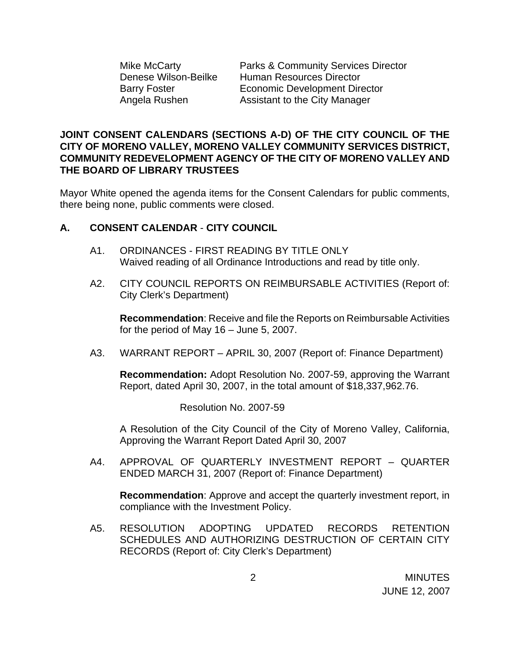Mike McCarty Parks & Community Services Director Denese Wilson-Beilke Human Resources Director Barry Foster **Economic Development Director** Angela Rushen Assistant to the City Manager

### **JOINT CONSENT CALENDARS (SECTIONS A-D) OF THE CITY COUNCIL OF THE CITY OF MORENO VALLEY, MORENO VALLEY COMMUNITY SERVICES DISTRICT, COMMUNITY REDEVELOPMENT AGENCY OF THE CITY OF MORENO VALLEY AND THE BOARD OF LIBRARY TRUSTEES**

Mayor White opened the agenda items for the Consent Calendars for public comments, there being none, public comments were closed.

### **A. CONSENT CALENDAR** - **CITY COUNCIL**

- A1. ORDINANCES FIRST READING BY TITLE ONLY Waived reading of all Ordinance Introductions and read by title only.
- A2. CITY COUNCIL REPORTS ON REIMBURSABLE ACTIVITIES (Report of: City Clerk's Department)

**Recommendation**: Receive and file the Reports on Reimbursable Activities for the period of May 16 – June 5, 2007.

A3. WARRANT REPORT – APRIL 30, 2007 (Report of: Finance Department)

 **Recommendation:** Adopt Resolution No. 2007-59, approving the Warrant Report, dated April 30, 2007, in the total amount of \$18,337,962.76.

Resolution No. 2007-59

 A Resolution of the City Council of the City of Moreno Valley, California, Approving the Warrant Report Dated April 30, 2007

A4. APPROVAL OF QUARTERLY INVESTMENT REPORT – QUARTER ENDED MARCH 31, 2007 (Report of: Finance Department)

**Recommendation**: Approve and accept the quarterly investment report, in compliance with the Investment Policy.

A5. RESOLUTION ADOPTING UPDATED RECORDS RETENTION SCHEDULES AND AUTHORIZING DESTRUCTION OF CERTAIN CITY RECORDS (Report of: City Clerk's Department)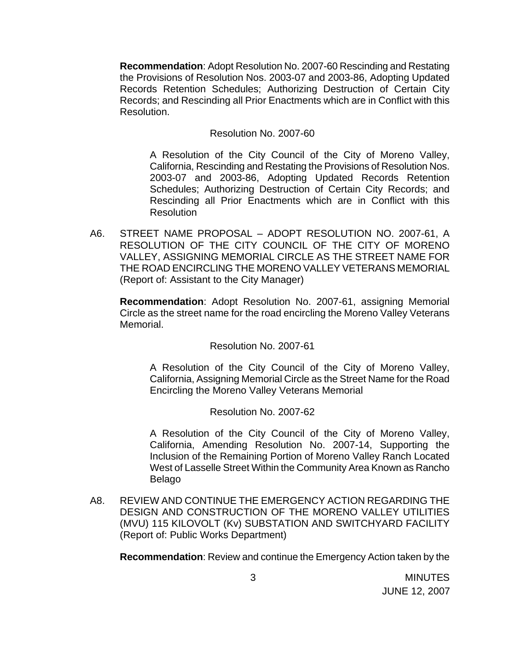**Recommendation**: Adopt Resolution No. 2007-60 Rescinding and Restating the Provisions of Resolution Nos. 2003-07 and 2003-86, Adopting Updated Records Retention Schedules; Authorizing Destruction of Certain City Records; and Rescinding all Prior Enactments which are in Conflict with this Resolution.

Resolution No. 2007-60

 A Resolution of the City Council of the City of Moreno Valley, California, Rescinding and Restating the Provisions of Resolution Nos. 2003-07 and 2003-86, Adopting Updated Records Retention Schedules; Authorizing Destruction of Certain City Records; and Rescinding all Prior Enactments which are in Conflict with this **Resolution** 

A6. STREET NAME PROPOSAL – ADOPT RESOLUTION NO. 2007-61, A RESOLUTION OF THE CITY COUNCIL OF THE CITY OF MORENO VALLEY, ASSIGNING MEMORIAL CIRCLE AS THE STREET NAME FOR THE ROAD ENCIRCLING THE MORENO VALLEY VETERANS MEMORIAL (Report of: Assistant to the City Manager)

**Recommendation**: Adopt Resolution No. 2007-61, assigning Memorial Circle as the street name for the road encircling the Moreno Valley Veterans Memorial.

Resolution No. 2007-61

 A Resolution of the City Council of the City of Moreno Valley, California, Assigning Memorial Circle as the Street Name for the Road Encircling the Moreno Valley Veterans Memorial

Resolution No. 2007-62

 A Resolution of the City Council of the City of Moreno Valley, California, Amending Resolution No. 2007-14, Supporting the Inclusion of the Remaining Portion of Moreno Valley Ranch Located West of Lasselle Street Within the Community Area Known as Rancho Belago

A8. REVIEW AND CONTINUE THE EMERGENCY ACTION REGARDING THE DESIGN AND CONSTRUCTION OF THE MORENO VALLEY UTILITIES (MVU) 115 KILOVOLT (Kv) SUBSTATION AND SWITCHYARD FACILITY (Report of: Public Works Department)

**Recommendation**: Review and continue the Emergency Action taken by the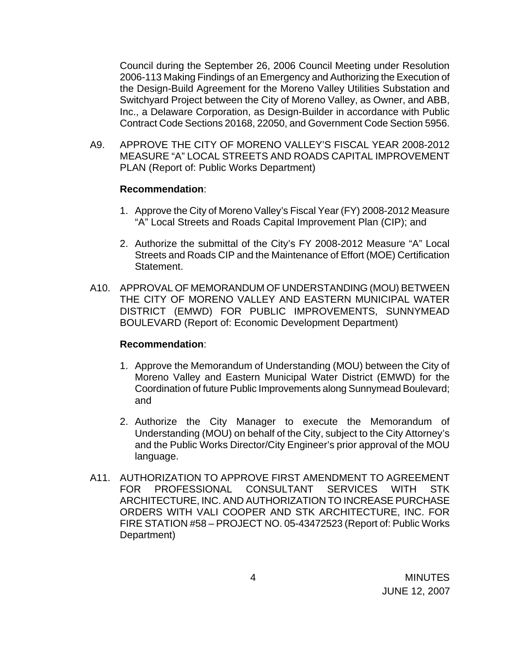Council during the September 26, 2006 Council Meeting under Resolution 2006-113 Making Findings of an Emergency and Authorizing the Execution of the Design-Build Agreement for the Moreno Valley Utilities Substation and Switchyard Project between the City of Moreno Valley, as Owner, and ABB, Inc., a Delaware Corporation, as Design-Builder in accordance with Public Contract Code Sections 20168, 22050, and Government Code Section 5956.

A9. APPROVE THE CITY OF MORENO VALLEY'S FISCAL YEAR 2008-2012 MEASURE "A" LOCAL STREETS AND ROADS CAPITAL IMPROVEMENT PLAN (Report of: Public Works Department)

### **Recommendation**:

- 1. Approve the City of Moreno Valley's Fiscal Year (FY) 2008-2012 Measure "A" Local Streets and Roads Capital Improvement Plan (CIP); and
- 2. Authorize the submittal of the City's FY 2008-2012 Measure "A" Local Streets and Roads CIP and the Maintenance of Effort (MOE) Certification Statement.
- A10. APPROVAL OF MEMORANDUM OF UNDERSTANDING (MOU) BETWEEN THE CITY OF MORENO VALLEY AND EASTERN MUNICIPAL WATER DISTRICT (EMWD) FOR PUBLIC IMPROVEMENTS, SUNNYMEAD BOULEVARD (Report of: Economic Development Department)

#### **Recommendation**:

- 1. Approve the Memorandum of Understanding (MOU) between the City of Moreno Valley and Eastern Municipal Water District (EMWD) for the Coordination of future Public Improvements along Sunnymead Boulevard; and
- 2. Authorize the City Manager to execute the Memorandum of Understanding (MOU) on behalf of the City, subject to the City Attorney's and the Public Works Director/City Engineer's prior approval of the MOU language.
- A11. AUTHORIZATION TO APPROVE FIRST AMENDMENT TO AGREEMENT FOR PROFESSIONAL CONSULTANT SERVICES WITH STK ARCHITECTURE, INC. AND AUTHORIZATION TO INCREASE PURCHASE ORDERS WITH VALI COOPER AND STK ARCHITECTURE, INC. FOR FIRE STATION #58 – PROJECT NO. 05-43472523 (Report of: Public Works Department)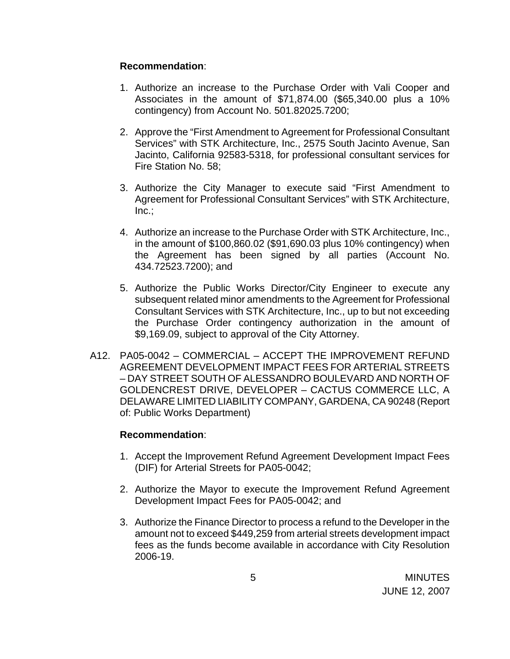### **Recommendation**:

- 1. Authorize an increase to the Purchase Order with Vali Cooper and Associates in the amount of \$71,874.00 (\$65,340.00 plus a 10% contingency) from Account No. 501.82025.7200;
- 2. Approve the "First Amendment to Agreement for Professional Consultant Services" with STK Architecture, Inc., 2575 South Jacinto Avenue, San Jacinto, California 92583-5318, for professional consultant services for Fire Station No. 58;
- 3. Authorize the City Manager to execute said "First Amendment to Agreement for Professional Consultant Services" with STK Architecture, Inc.;
- 4. Authorize an increase to the Purchase Order with STK Architecture, Inc., in the amount of \$100,860.02 (\$91,690.03 plus 10% contingency) when the Agreement has been signed by all parties (Account No. 434.72523.7200); and
- 5. Authorize the Public Works Director/City Engineer to execute any subsequent related minor amendments to the Agreement for Professional Consultant Services with STK Architecture, Inc., up to but not exceeding the Purchase Order contingency authorization in the amount of \$9,169.09, subject to approval of the City Attorney.
- A12. PA05-0042 COMMERCIAL ACCEPT THE IMPROVEMENT REFUND AGREEMENT DEVELOPMENT IMPACT FEES FOR ARTERIAL STREETS – DAY STREET SOUTH OF ALESSANDRO BOULEVARD AND NORTH OF GOLDENCREST DRIVE, DEVELOPER – CACTUS COMMERCE LLC, A DELAWARE LIMITED LIABILITY COMPANY, GARDENA, CA 90248 (Report of: Public Works Department)

# **Recommendation**:

- 1. Accept the Improvement Refund Agreement Development Impact Fees (DIF) for Arterial Streets for PA05-0042;
- 2. Authorize the Mayor to execute the Improvement Refund Agreement Development Impact Fees for PA05-0042; and
- 3. Authorize the Finance Director to process a refund to the Developer in the amount not to exceed \$449,259 from arterial streets development impact fees as the funds become available in accordance with City Resolution 2006-19.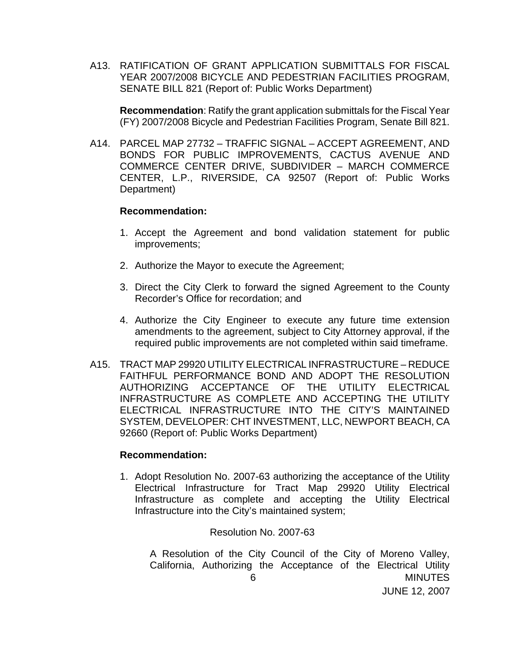A13. RATIFICATION OF GRANT APPLICATION SUBMITTALS FOR FISCAL YEAR 2007/2008 BICYCLE AND PEDESTRIAN FACILITIES PROGRAM, SENATE BILL 821 (Report of: Public Works Department)

**Recommendation**: Ratify the grant application submittals for the Fiscal Year (FY) 2007/2008 Bicycle and Pedestrian Facilities Program, Senate Bill 821.

A14. PARCEL MAP 27732 – TRAFFIC SIGNAL – ACCEPT AGREEMENT, AND BONDS FOR PUBLIC IMPROVEMENTS, CACTUS AVENUE AND COMMERCE CENTER DRIVE, SUBDIVIDER – MARCH COMMERCE CENTER, L.P., RIVERSIDE, CA 92507 (Report of: Public Works Department)

#### **Recommendation:**

- 1. Accept the Agreement and bond validation statement for public improvements;
- 2. Authorize the Mayor to execute the Agreement;
- 3. Direct the City Clerk to forward the signed Agreement to the County Recorder's Office for recordation; and
- 4. Authorize the City Engineer to execute any future time extension amendments to the agreement, subject to City Attorney approval, if the required public improvements are not completed within said timeframe.
- A15. TRACT MAP 29920 UTILITY ELECTRICAL INFRASTRUCTURE REDUCE FAITHFUL PERFORMANCE BOND AND ADOPT THE RESOLUTION AUTHORIZING ACCEPTANCE OF THE UTILITY ELECTRICAL INFRASTRUCTURE AS COMPLETE AND ACCEPTING THE UTILITY ELECTRICAL INFRASTRUCTURE INTO THE CITY'S MAINTAINED SYSTEM, DEVELOPER: CHT INVESTMENT, LLC, NEWPORT BEACH, CA 92660 (Report of: Public Works Department)

#### **Recommendation:**

1. Adopt Resolution No. 2007-63 authorizing the acceptance of the Utility Electrical Infrastructure for Tract Map 29920 Utility Electrical Infrastructure as complete and accepting the Utility Electrical Infrastructure into the City's maintained system;

### Resolution No. 2007-63

 6 MINUTES JUNE 12, 2007 A Resolution of the City Council of the City of Moreno Valley, California, Authorizing the Acceptance of the Electrical Utility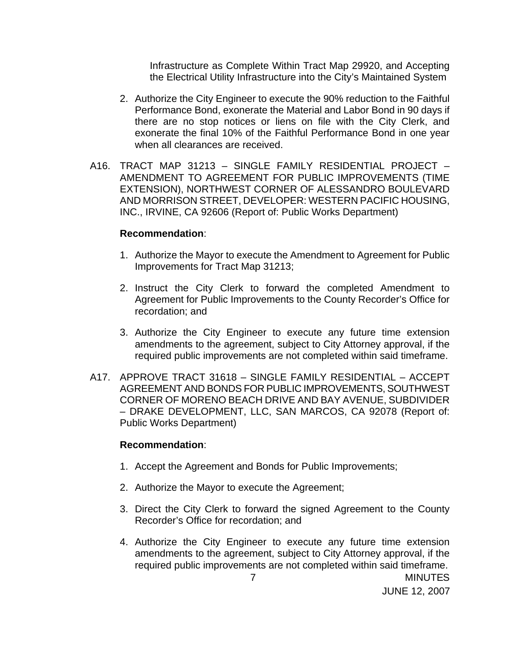Infrastructure as Complete Within Tract Map 29920, and Accepting the Electrical Utility Infrastructure into the City's Maintained System

- 2. Authorize the City Engineer to execute the 90% reduction to the Faithful Performance Bond, exonerate the Material and Labor Bond in 90 days if there are no stop notices or liens on file with the City Clerk, and exonerate the final 10% of the Faithful Performance Bond in one year when all clearances are received.
- A16. TRACT MAP 31213 SINGLE FAMILY RESIDENTIAL PROJECT AMENDMENT TO AGREEMENT FOR PUBLIC IMPROVEMENTS (TIME EXTENSION), NORTHWEST CORNER OF ALESSANDRO BOULEVARD AND MORRISON STREET, DEVELOPER: WESTERN PACIFIC HOUSING, INC., IRVINE, CA 92606 (Report of: Public Works Department)

#### **Recommendation**:

- 1. Authorize the Mayor to execute the Amendment to Agreement for Public Improvements for Tract Map 31213;
- 2. Instruct the City Clerk to forward the completed Amendment to Agreement for Public Improvements to the County Recorder's Office for recordation; and
- 3. Authorize the City Engineer to execute any future time extension amendments to the agreement, subject to City Attorney approval, if the required public improvements are not completed within said timeframe.
- A17. APPROVE TRACT 31618 SINGLE FAMILY RESIDENTIAL ACCEPT AGREEMENT AND BONDS FOR PUBLIC IMPROVEMENTS, SOUTHWEST CORNER OF MORENO BEACH DRIVE AND BAY AVENUE, SUBDIVIDER – DRAKE DEVELOPMENT, LLC, SAN MARCOS, CA 92078 (Report of: Public Works Department)

#### **Recommendation**:

- 1. Accept the Agreement and Bonds for Public Improvements;
- 2. Authorize the Mayor to execute the Agreement;
- 3. Direct the City Clerk to forward the signed Agreement to the County Recorder's Office for recordation; and
- 4. Authorize the City Engineer to execute any future time extension amendments to the agreement, subject to City Attorney approval, if the required public improvements are not completed within said timeframe.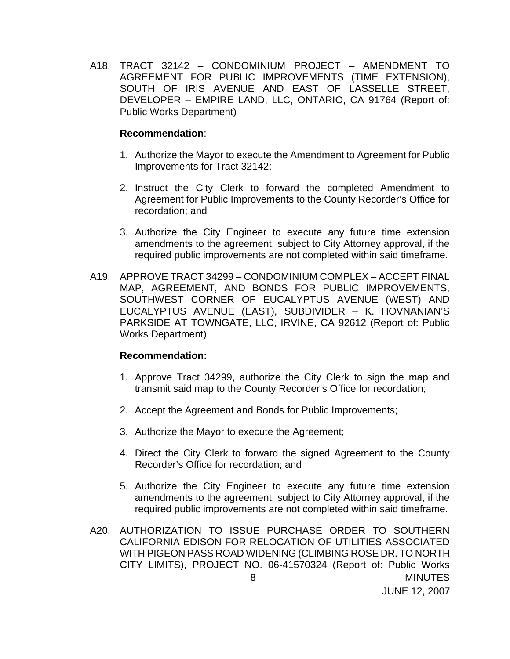A18. TRACT 32142 – CONDOMINIUM PROJECT – AMENDMENT TO AGREEMENT FOR PUBLIC IMPROVEMENTS (TIME EXTENSION), SOUTH OF IRIS AVENUE AND EAST OF LASSELLE STREET, DEVELOPER – EMPIRE LAND, LLC, ONTARIO, CA 91764 (Report of: Public Works Department)

#### **Recommendation**:

- 1. Authorize the Mayor to execute the Amendment to Agreement for Public Improvements for Tract 32142;
- 2. Instruct the City Clerk to forward the completed Amendment to Agreement for Public Improvements to the County Recorder's Office for recordation; and
- 3. Authorize the City Engineer to execute any future time extension amendments to the agreement, subject to City Attorney approval, if the required public improvements are not completed within said timeframe.
- A19. APPROVE TRACT 34299 CONDOMINIUM COMPLEX ACCEPT FINAL MAP, AGREEMENT, AND BONDS FOR PUBLIC IMPROVEMENTS, SOUTHWEST CORNER OF EUCALYPTUS AVENUE (WEST) AND EUCALYPTUS AVENUE (EAST), SUBDIVIDER – K. HOVNANIAN'S PARKSIDE AT TOWNGATE, LLC, IRVINE, CA 92612 (Report of: Public Works Department)

### **Recommendation:**

- 1. Approve Tract 34299, authorize the City Clerk to sign the map and transmit said map to the County Recorder's Office for recordation;
- 2. Accept the Agreement and Bonds for Public Improvements;
- 3. Authorize the Mayor to execute the Agreement;
- 4. Direct the City Clerk to forward the signed Agreement to the County Recorder's Office for recordation; and
- 5. Authorize the City Engineer to execute any future time extension amendments to the agreement, subject to City Attorney approval, if the required public improvements are not completed within said timeframe.
- 8 MINUTES JUNE 12, 2007 A20. AUTHORIZATION TO ISSUE PURCHASE ORDER TO SOUTHERN CALIFORNIA EDISON FOR RELOCATION OF UTILITIES ASSOCIATED WITH PIGEON PASS ROAD WIDENING (CLIMBING ROSE DR. TO NORTH CITY LIMITS), PROJECT NO. 06-41570324 (Report of: Public Works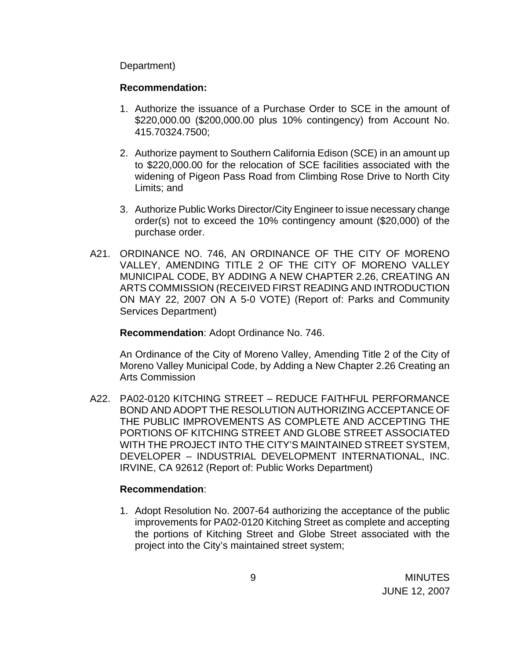Department)

### **Recommendation:**

- 1. Authorize the issuance of a Purchase Order to SCE in the amount of \$220,000.00 (\$200,000.00 plus 10% contingency) from Account No. 415.70324.7500;
- 2. Authorize payment to Southern California Edison (SCE) in an amount up to \$220,000.00 for the relocation of SCE facilities associated with the widening of Pigeon Pass Road from Climbing Rose Drive to North City Limits; and
- 3. Authorize Public Works Director/City Engineer to issue necessary change order(s) not to exceed the 10% contingency amount (\$20,000) of the purchase order.
- A21. ORDINANCE NO. 746, AN ORDINANCE OF THE CITY OF MORENO VALLEY, AMENDING TITLE 2 OF THE CITY OF MORENO VALLEY MUNICIPAL CODE, BY ADDING A NEW CHAPTER 2.26, CREATING AN ARTS COMMISSION (RECEIVED FIRST READING AND INTRODUCTION ON MAY 22, 2007 ON A 5-0 VOTE) (Report of: Parks and Community Services Department)

**Recommendation**: Adopt Ordinance No. 746.

 An Ordinance of the City of Moreno Valley, Amending Title 2 of the City of Moreno Valley Municipal Code, by Adding a New Chapter 2.26 Creating an Arts Commission

A22. PA02-0120 KITCHING STREET – REDUCE FAITHFUL PERFORMANCE BOND AND ADOPT THE RESOLUTION AUTHORIZING ACCEPTANCE OF THE PUBLIC IMPROVEMENTS AS COMPLETE AND ACCEPTING THE PORTIONS OF KITCHING STREET AND GLOBE STREET ASSOCIATED WITH THE PROJECT INTO THE CITY'S MAINTAINED STREET SYSTEM, DEVELOPER – INDUSTRIAL DEVELOPMENT INTERNATIONAL, INC. IRVINE, CA 92612 (Report of: Public Works Department)

# **Recommendation**:

1. Adopt Resolution No. 2007-64 authorizing the acceptance of the public improvements for PA02-0120 Kitching Street as complete and accepting the portions of Kitching Street and Globe Street associated with the project into the City's maintained street system;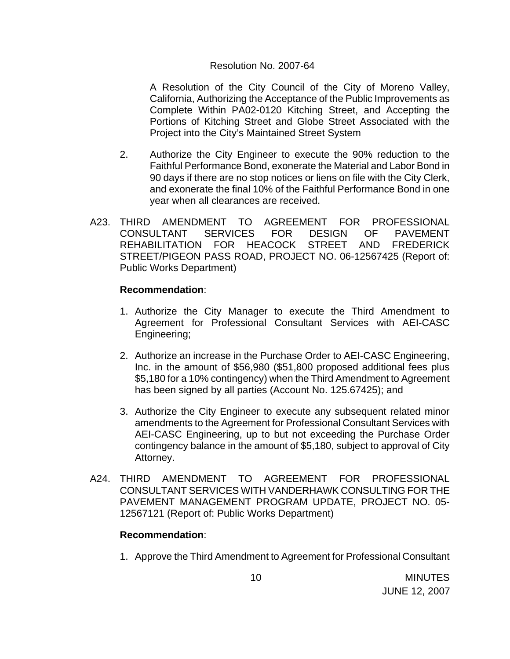#### Resolution No. 2007-64

 A Resolution of the City Council of the City of Moreno Valley, California, Authorizing the Acceptance of the Public Improvements as Complete Within PA02-0120 Kitching Street, and Accepting the Portions of Kitching Street and Globe Street Associated with the Project into the City's Maintained Street System

- 2. Authorize the City Engineer to execute the 90% reduction to the Faithful Performance Bond, exonerate the Material and Labor Bond in 90 days if there are no stop notices or liens on file with the City Clerk, and exonerate the final 10% of the Faithful Performance Bond in one year when all clearances are received.
- A23. THIRD AMENDMENT TO AGREEMENT FOR PROFESSIONAL CONSULTANT SERVICES FOR DESIGN OF PAVEMENT REHABILITATION FOR HEACOCK STREET AND FREDERICK STREET/PIGEON PASS ROAD, PROJECT NO. 06-12567425 (Report of: Public Works Department)

#### **Recommendation**:

- 1. Authorize the City Manager to execute the Third Amendment to Agreement for Professional Consultant Services with AEI-CASC Engineering;
- 2. Authorize an increase in the Purchase Order to AEI-CASC Engineering, Inc. in the amount of \$56,980 (\$51,800 proposed additional fees plus \$5,180 for a 10% contingency) when the Third Amendment to Agreement has been signed by all parties (Account No. 125.67425); and
- 3. Authorize the City Engineer to execute any subsequent related minor amendments to the Agreement for Professional Consultant Services with AEI-CASC Engineering, up to but not exceeding the Purchase Order contingency balance in the amount of \$5,180, subject to approval of City Attorney.
- A24. THIRD AMENDMENT TO AGREEMENT FOR PROFESSIONAL CONSULTANT SERVICES WITH VANDERHAWK CONSULTING FOR THE PAVEMENT MANAGEMENT PROGRAM UPDATE, PROJECT NO. 05- 12567121 (Report of: Public Works Department)

### **Recommendation**:

1. Approve the Third Amendment to Agreement for Professional Consultant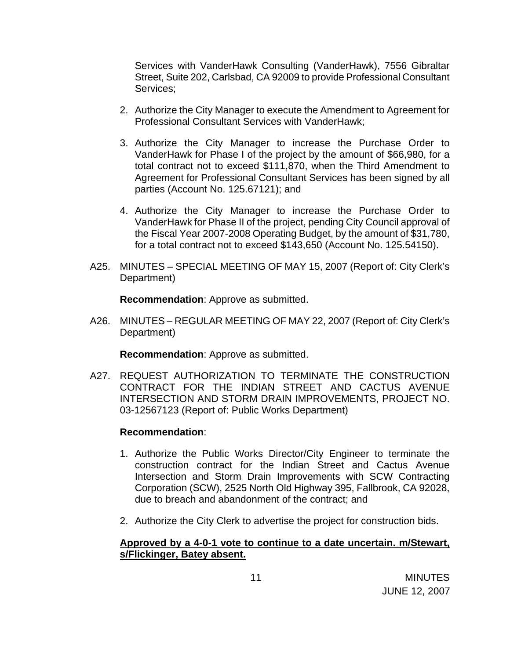Services with VanderHawk Consulting (VanderHawk), 7556 Gibraltar Street, Suite 202, Carlsbad, CA 92009 to provide Professional Consultant Services;

- 2. Authorize the City Manager to execute the Amendment to Agreement for Professional Consultant Services with VanderHawk;
- 3. Authorize the City Manager to increase the Purchase Order to VanderHawk for Phase I of the project by the amount of \$66,980, for a total contract not to exceed \$111,870, when the Third Amendment to Agreement for Professional Consultant Services has been signed by all parties (Account No. 125.67121); and
- 4. Authorize the City Manager to increase the Purchase Order to VanderHawk for Phase II of the project, pending City Council approval of the Fiscal Year 2007-2008 Operating Budget, by the amount of \$31,780, for a total contract not to exceed \$143,650 (Account No. 125.54150).
- A25. MINUTES SPECIAL MEETING OF MAY 15, 2007 (Report of: City Clerk's Department)

**Recommendation**: Approve as submitted.

A26. MINUTES – REGULAR MEETING OF MAY 22, 2007 (Report of: City Clerk's Department)

**Recommendation**: Approve as submitted.

A27. REQUEST AUTHORIZATION TO TERMINATE THE CONSTRUCTION CONTRACT FOR THE INDIAN STREET AND CACTUS AVENUE INTERSECTION AND STORM DRAIN IMPROVEMENTS, PROJECT NO. 03-12567123 (Report of: Public Works Department)

### **Recommendation**:

- 1. Authorize the Public Works Director/City Engineer to terminate the construction contract for the Indian Street and Cactus Avenue Intersection and Storm Drain Improvements with SCW Contracting Corporation (SCW), 2525 North Old Highway 395, Fallbrook, CA 92028, due to breach and abandonment of the contract; and
- 2. Authorize the City Clerk to advertise the project for construction bids.

### **Approved by a 4-0-1 vote to continue to a date uncertain. m/Stewart, s/Flickinger, Batey absent.**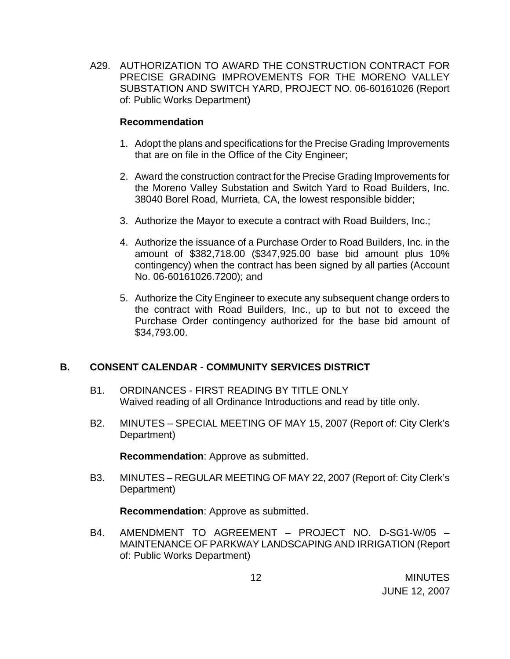A29. AUTHORIZATION TO AWARD THE CONSTRUCTION CONTRACT FOR PRECISE GRADING IMPROVEMENTS FOR THE MORENO VALLEY SUBSTATION AND SWITCH YARD, PROJECT NO. 06-60161026 (Report of: Public Works Department)

### **Recommendation**

- 1. Adopt the plans and specifications for the Precise Grading Improvements that are on file in the Office of the City Engineer;
- 2. Award the construction contract for the Precise Grading Improvements for the Moreno Valley Substation and Switch Yard to Road Builders, Inc. 38040 Borel Road, Murrieta, CA, the lowest responsible bidder;
- 3. Authorize the Mayor to execute a contract with Road Builders, Inc.;
- 4. Authorize the issuance of a Purchase Order to Road Builders, Inc. in the amount of \$382,718.00 (\$347,925.00 base bid amount plus 10% contingency) when the contract has been signed by all parties (Account No. 06-60161026.7200); and
- 5. Authorize the City Engineer to execute any subsequent change orders to the contract with Road Builders, Inc., up to but not to exceed the Purchase Order contingency authorized for the base bid amount of \$34,793.00.

# **B. CONSENT CALENDAR** - **COMMUNITY SERVICES DISTRICT**

- B1. ORDINANCES FIRST READING BY TITLE ONLY Waived reading of all Ordinance Introductions and read by title only.
- B2. MINUTES SPECIAL MEETING OF MAY 15, 2007 (Report of: City Clerk's Department)

**Recommendation**: Approve as submitted.

B3. MINUTES – REGULAR MEETING OF MAY 22, 2007 (Report of: City Clerk's Department)

**Recommendation**: Approve as submitted.

B4. AMENDMENT TO AGREEMENT – PROJECT NO. D-SG1-W/05 – MAINTENANCE OF PARKWAY LANDSCAPING AND IRRIGATION (Report of: Public Works Department)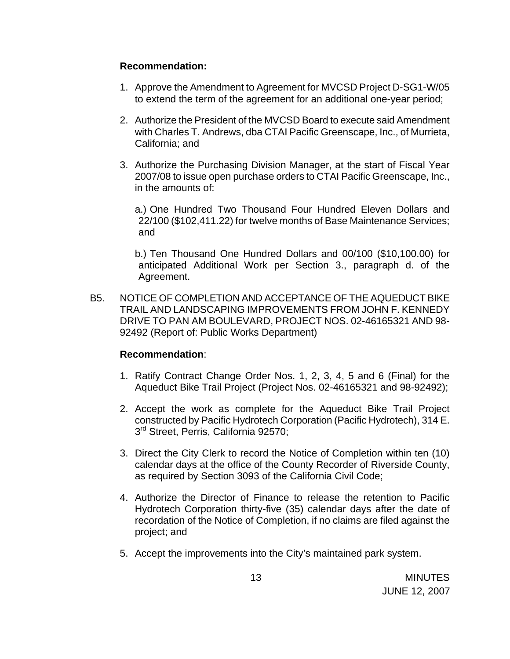### **Recommendation:**

- 1. Approve the Amendment to Agreement for MVCSD Project D-SG1-W/05 to extend the term of the agreement for an additional one-year period;
- 2. Authorize the President of the MVCSD Board to execute said Amendment with Charles T. Andrews, dba CTAI Pacific Greenscape, Inc., of Murrieta, California; and
- 3. Authorize the Purchasing Division Manager, at the start of Fiscal Year 2007/08 to issue open purchase orders to CTAI Pacific Greenscape, Inc., in the amounts of:

 a.) One Hundred Two Thousand Four Hundred Eleven Dollars and 22/100 (\$102,411.22) for twelve months of Base Maintenance Services; and

 b.) Ten Thousand One Hundred Dollars and 00/100 (\$10,100.00) for anticipated Additional Work per Section 3., paragraph d. of the Agreement.

B5. NOTICE OF COMPLETION AND ACCEPTANCE OF THE AQUEDUCT BIKE TRAIL AND LANDSCAPING IMPROVEMENTS FROM JOHN F. KENNEDY DRIVE TO PAN AM BOULEVARD, PROJECT NOS. 02-46165321 AND 98- 92492 (Report of: Public Works Department)

# **Recommendation**:

- 1. Ratify Contract Change Order Nos. 1, 2, 3, 4, 5 and 6 (Final) for the Aqueduct Bike Trail Project (Project Nos. 02-46165321 and 98-92492);
- 2. Accept the work as complete for the Aqueduct Bike Trail Project constructed by Pacific Hydrotech Corporation (Pacific Hydrotech), 314 E. 3<sup>rd</sup> Street, Perris, California 92570;
- 3. Direct the City Clerk to record the Notice of Completion within ten (10) calendar days at the office of the County Recorder of Riverside County, as required by Section 3093 of the California Civil Code;
- 4. Authorize the Director of Finance to release the retention to Pacific Hydrotech Corporation thirty-five (35) calendar days after the date of recordation of the Notice of Completion, if no claims are filed against the project; and
- 5. Accept the improvements into the City's maintained park system.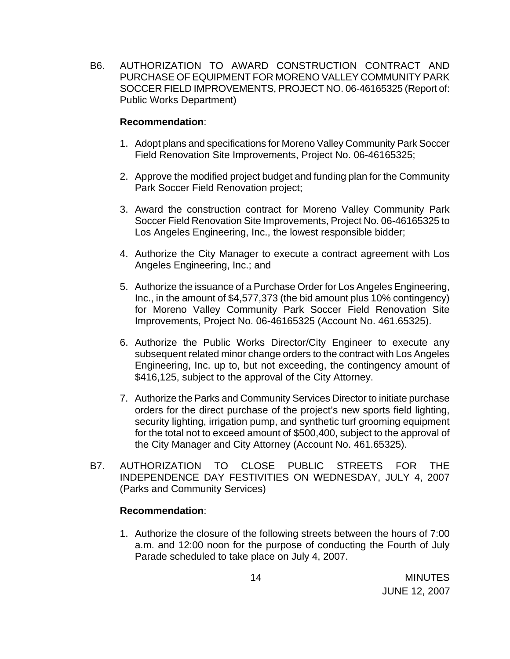B6. AUTHORIZATION TO AWARD CONSTRUCTION CONTRACT AND PURCHASE OF EQUIPMENT FOR MORENO VALLEY COMMUNITY PARK SOCCER FIELD IMPROVEMENTS, PROJECT NO. 06-46165325 (Report of: Public Works Department)

### **Recommendation**:

- 1. Adopt plans and specifications for Moreno Valley Community Park Soccer Field Renovation Site Improvements, Project No. 06-46165325;
- 2. Approve the modified project budget and funding plan for the Community Park Soccer Field Renovation project;
- 3. Award the construction contract for Moreno Valley Community Park Soccer Field Renovation Site Improvements, Project No. 06-46165325 to Los Angeles Engineering, Inc., the lowest responsible bidder;
- 4. Authorize the City Manager to execute a contract agreement with Los Angeles Engineering, Inc.; and
- 5. Authorize the issuance of a Purchase Order for Los Angeles Engineering, Inc., in the amount of \$4,577,373 (the bid amount plus 10% contingency) for Moreno Valley Community Park Soccer Field Renovation Site Improvements, Project No. 06-46165325 (Account No. 461.65325).
- 6. Authorize the Public Works Director/City Engineer to execute any subsequent related minor change orders to the contract with Los Angeles Engineering, Inc. up to, but not exceeding, the contingency amount of \$416,125, subject to the approval of the City Attorney.
- 7. Authorize the Parks and Community Services Director to initiate purchase orders for the direct purchase of the project's new sports field lighting, security lighting, irrigation pump, and synthetic turf grooming equipment for the total not to exceed amount of \$500,400, subject to the approval of the City Manager and City Attorney (Account No. 461.65325).
- B7. AUTHORIZATION TO CLOSE PUBLIC STREETS FOR THE INDEPENDENCE DAY FESTIVITIES ON WEDNESDAY, JULY 4, 2007 (Parks and Community Services)

### **Recommendation**:

1. Authorize the closure of the following streets between the hours of 7:00 a.m. and 12:00 noon for the purpose of conducting the Fourth of July Parade scheduled to take place on July 4, 2007.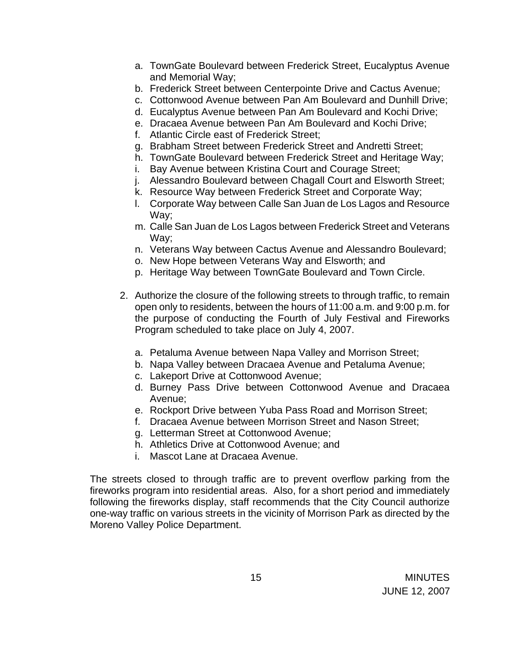- a. TownGate Boulevard between Frederick Street, Eucalyptus Avenue and Memorial Way;
- b. Frederick Street between Centerpointe Drive and Cactus Avenue;
- c. Cottonwood Avenue between Pan Am Boulevard and Dunhill Drive;
- d. Eucalyptus Avenue between Pan Am Boulevard and Kochi Drive;
- e. Dracaea Avenue between Pan Am Boulevard and Kochi Drive;
- f. Atlantic Circle east of Frederick Street;
- g. Brabham Street between Frederick Street and Andretti Street;
- h. TownGate Boulevard between Frederick Street and Heritage Way;
- i. Bay Avenue between Kristina Court and Courage Street;
- j. Alessandro Boulevard between Chagall Court and Elsworth Street;
- k. Resource Way between Frederick Street and Corporate Way;
- l. Corporate Way between Calle San Juan de Los Lagos and Resource Way;
- m. Calle San Juan de Los Lagos between Frederick Street and Veterans Way;
- n. Veterans Way between Cactus Avenue and Alessandro Boulevard;
- o. New Hope between Veterans Way and Elsworth; and
- p. Heritage Way between TownGate Boulevard and Town Circle.
- 2. Authorize the closure of the following streets to through traffic, to remain open only to residents, between the hours of 11:00 a.m. and 9:00 p.m. for the purpose of conducting the Fourth of July Festival and Fireworks Program scheduled to take place on July 4, 2007.
	- a. Petaluma Avenue between Napa Valley and Morrison Street;
	- b. Napa Valley between Dracaea Avenue and Petaluma Avenue;
	- c. Lakeport Drive at Cottonwood Avenue;
	- d. Burney Pass Drive between Cottonwood Avenue and Dracaea Avenue;
	- e. Rockport Drive between Yuba Pass Road and Morrison Street;
	- f. Dracaea Avenue between Morrison Street and Nason Street;
	- g. Letterman Street at Cottonwood Avenue;
	- h. Athletics Drive at Cottonwood Avenue; and
	- i. Mascot Lane at Dracaea Avenue.

The streets closed to through traffic are to prevent overflow parking from the fireworks program into residential areas. Also, for a short period and immediately following the fireworks display, staff recommends that the City Council authorize one-way traffic on various streets in the vicinity of Morrison Park as directed by the Moreno Valley Police Department.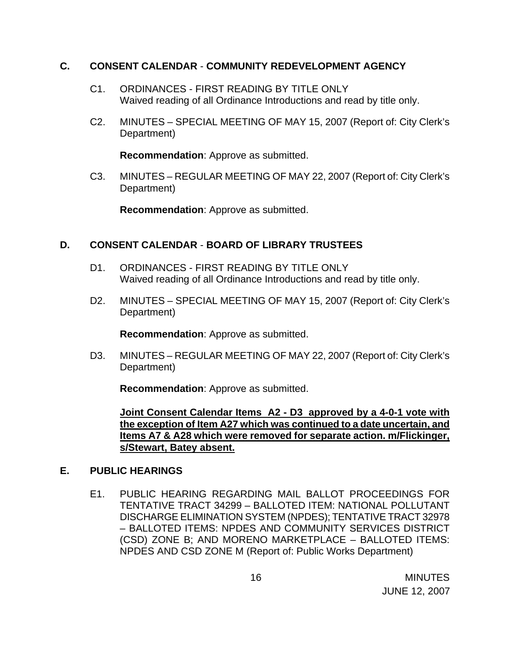### **C. CONSENT CALENDAR** - **COMMUNITY REDEVELOPMENT AGENCY**

- C1. ORDINANCES FIRST READING BY TITLE ONLY Waived reading of all Ordinance Introductions and read by title only.
- C2. MINUTES SPECIAL MEETING OF MAY 15, 2007 (Report of: City Clerk's Department)

**Recommendation**: Approve as submitted.

C3. MINUTES – REGULAR MEETING OF MAY 22, 2007 (Report of: City Clerk's Department)

**Recommendation**: Approve as submitted.

# **D. CONSENT CALENDAR** - **BOARD OF LIBRARY TRUSTEES**

- D1. ORDINANCES FIRST READING BY TITLE ONLY Waived reading of all Ordinance Introductions and read by title only.
- D2. MINUTES SPECIAL MEETING OF MAY 15, 2007 (Report of: City Clerk's Department)

**Recommendation**: Approve as submitted.

D3. MINUTES – REGULAR MEETING OF MAY 22, 2007 (Report of: City Clerk's Department)

**Recommendation**: Approve as submitted.

**Joint Consent Calendar Items A2 - D3 approved by a 4-0-1 vote with the exception of Item A27 which was continued to a date uncertain, and Items A7 & A28 which were removed for separate action. m/Flickinger, s/Stewart, Batey absent.**

# **E. PUBLIC HEARINGS**

E1. PUBLIC HEARING REGARDING MAIL BALLOT PROCEEDINGS FOR TENTATIVE TRACT 34299 – BALLOTED ITEM: NATIONAL POLLUTANT DISCHARGE ELIMINATION SYSTEM (NPDES); TENTATIVE TRACT 32978 – BALLOTED ITEMS: NPDES AND COMMUNITY SERVICES DISTRICT (CSD) ZONE B; AND MORENO MARKETPLACE – BALLOTED ITEMS: NPDES AND CSD ZONE M (Report of: Public Works Department)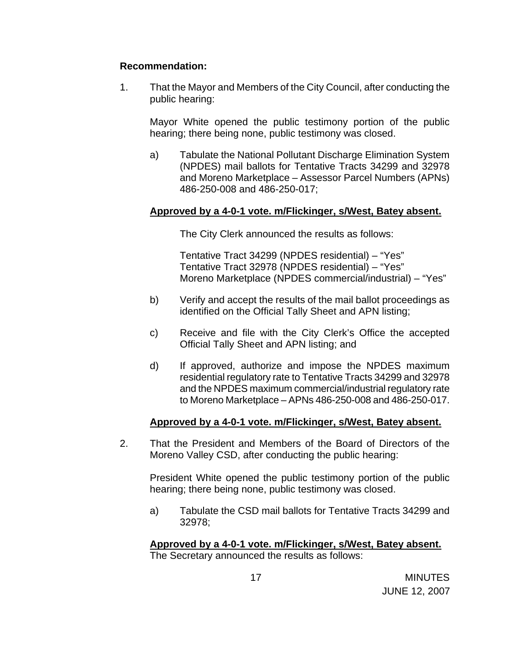### **Recommendation:**

1. That the Mayor and Members of the City Council, after conducting the public hearing:

Mayor White opened the public testimony portion of the public hearing; there being none, public testimony was closed.

 a) Tabulate the National Pollutant Discharge Elimination System (NPDES) mail ballots for Tentative Tracts 34299 and 32978 and Moreno Marketplace – Assessor Parcel Numbers (APNs) 486-250-008 and 486-250-017;

### **Approved by a 4-0-1 vote. m/Flickinger, s/West, Batey absent.**

The City Clerk announced the results as follows:

 Tentative Tract 34299 (NPDES residential) – "Yes" Tentative Tract 32978 (NPDES residential) – "Yes" Moreno Marketplace (NPDES commercial/industrial) – "Yes"

- b) Verify and accept the results of the mail ballot proceedings as identified on the Official Tally Sheet and APN listing;
- c) Receive and file with the City Clerk's Office the accepted Official Tally Sheet and APN listing; and
- d) If approved, authorize and impose the NPDES maximum residential regulatory rate to Tentative Tracts 34299 and 32978 and the NPDES maximum commercial/industrial regulatory rate to Moreno Marketplace – APNs 486-250-008 and 486-250-017.

### **Approved by a 4-0-1 vote. m/Flickinger, s/West, Batey absent.**

2. That the President and Members of the Board of Directors of the Moreno Valley CSD, after conducting the public hearing:

President White opened the public testimony portion of the public hearing; there being none, public testimony was closed.

a) Tabulate the CSD mail ballots for Tentative Tracts 34299 and 32978;

# **Approved by a 4-0-1 vote. m/Flickinger, s/West, Batey absent.**

The Secretary announced the results as follows: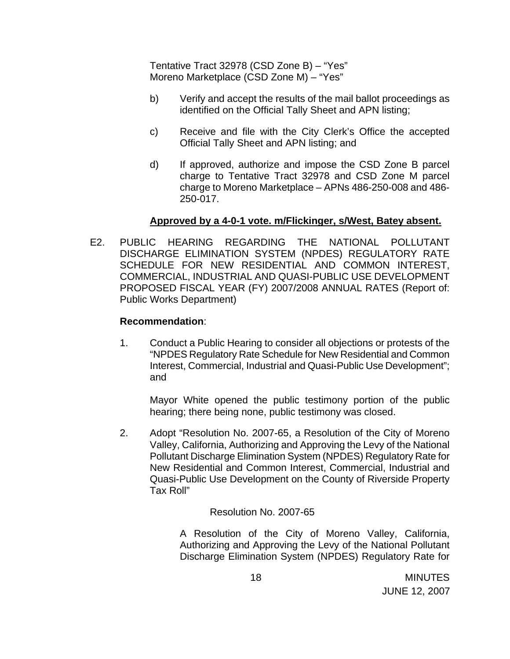Tentative Tract 32978 (CSD Zone B) – "Yes" Moreno Marketplace (CSD Zone M) – "Yes"

- b) Verify and accept the results of the mail ballot proceedings as identified on the Official Tally Sheet and APN listing;
- c) Receive and file with the City Clerk's Office the accepted Official Tally Sheet and APN listing; and
- d) If approved, authorize and impose the CSD Zone B parcel charge to Tentative Tract 32978 and CSD Zone M parcel charge to Moreno Marketplace – APNs 486-250-008 and 486- 250-017.

### **Approved by a 4-0-1 vote. m/Flickinger, s/West, Batey absent.**

E2. PUBLIC HEARING REGARDING THE NATIONAL POLLUTANT DISCHARGE ELIMINATION SYSTEM (NPDES) REGULATORY RATE SCHEDULE FOR NEW RESIDENTIAL AND COMMON INTEREST, COMMERCIAL, INDUSTRIAL AND QUASI-PUBLIC USE DEVELOPMENT PROPOSED FISCAL YEAR (FY) 2007/2008 ANNUAL RATES (Report of: Public Works Department)

### **Recommendation**:

1. Conduct a Public Hearing to consider all objections or protests of the "NPDES Regulatory Rate Schedule for New Residential and Common Interest, Commercial, Industrial and Quasi-Public Use Development"; and

Mayor White opened the public testimony portion of the public hearing; there being none, public testimony was closed.

2. Adopt "Resolution No. 2007-65, a Resolution of the City of Moreno Valley, California, Authorizing and Approving the Levy of the National Pollutant Discharge Elimination System (NPDES) Regulatory Rate for New Residential and Common Interest, Commercial, Industrial and Quasi-Public Use Development on the County of Riverside Property Tax Roll"

Resolution No. 2007-65

 A Resolution of the City of Moreno Valley, California, Authorizing and Approving the Levy of the National Pollutant Discharge Elimination System (NPDES) Regulatory Rate for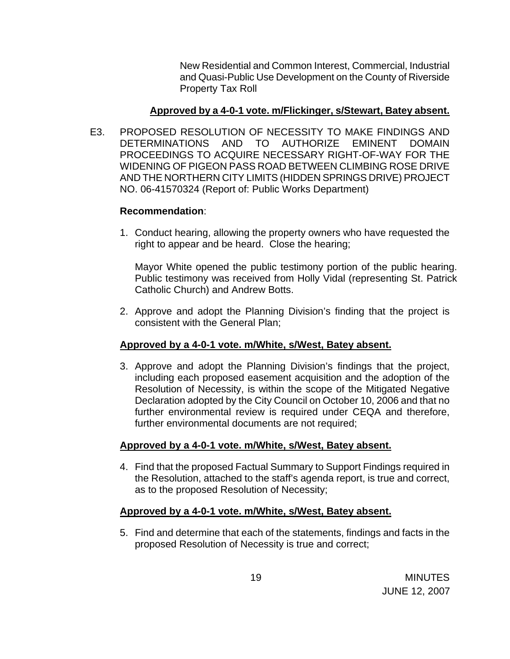New Residential and Common Interest, Commercial, Industrial and Quasi-Public Use Development on the County of Riverside Property Tax Roll

### **Approved by a 4-0-1 vote. m/Flickinger, s/Stewart, Batey absent.**

E3. PROPOSED RESOLUTION OF NECESSITY TO MAKE FINDINGS AND DETERMINATIONS AND TO AUTHORIZE EMINENT DOMAIN PROCEEDINGS TO ACQUIRE NECESSARY RIGHT-OF-WAY FOR THE WIDENING OF PIGEON PASS ROAD BETWEEN CLIMBING ROSE DRIVE AND THE NORTHERN CITY LIMITS (HIDDEN SPRINGS DRIVE) PROJECT NO. 06-41570324 (Report of: Public Works Department)

### **Recommendation**:

1. Conduct hearing, allowing the property owners who have requested the right to appear and be heard. Close the hearing;

 Mayor White opened the public testimony portion of the public hearing. Public testimony was received from Holly Vidal (representing St. Patrick Catholic Church) and Andrew Botts.

2. Approve and adopt the Planning Division's finding that the project is consistent with the General Plan;

# **Approved by a 4-0-1 vote. m/White, s/West, Batey absent.**

3. Approve and adopt the Planning Division's findings that the project, including each proposed easement acquisition and the adoption of the Resolution of Necessity, is within the scope of the Mitigated Negative Declaration adopted by the City Council on October 10, 2006 and that no further environmental review is required under CEQA and therefore, further environmental documents are not required;

# **Approved by a 4-0-1 vote. m/White, s/West, Batey absent.**

4. Find that the proposed Factual Summary to Support Findings required in the Resolution, attached to the staff's agenda report, is true and correct, as to the proposed Resolution of Necessity;

# **Approved by a 4-0-1 vote. m/White, s/West, Batey absent.**

5. Find and determine that each of the statements, findings and facts in the proposed Resolution of Necessity is true and correct;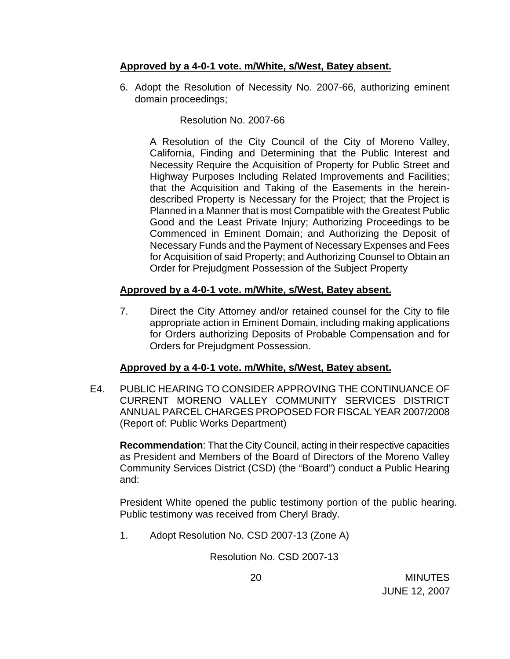# **Approved by a 4-0-1 vote. m/White, s/West, Batey absent.**

6. Adopt the Resolution of Necessity No. 2007-66, authorizing eminent domain proceedings;

# Resolution No. 2007-66

 A Resolution of the City Council of the City of Moreno Valley, California, Finding and Determining that the Public Interest and Necessity Require the Acquisition of Property for Public Street and Highway Purposes Including Related Improvements and Facilities; that the Acquisition and Taking of the Easements in the hereindescribed Property is Necessary for the Project; that the Project is Planned in a Manner that is most Compatible with the Greatest Public Good and the Least Private Injury; Authorizing Proceedings to be Commenced in Eminent Domain; and Authorizing the Deposit of Necessary Funds and the Payment of Necessary Expenses and Fees for Acquisition of said Property; and Authorizing Counsel to Obtain an Order for Prejudgment Possession of the Subject Property

# **Approved by a 4-0-1 vote. m/White, s/West, Batey absent.**

7. Direct the City Attorney and/or retained counsel for the City to file appropriate action in Eminent Domain, including making applications for Orders authorizing Deposits of Probable Compensation and for Orders for Prejudgment Possession.

# **Approved by a 4-0-1 vote. m/White, s/West, Batey absent.**

E4. PUBLIC HEARING TO CONSIDER APPROVING THE CONTINUANCE OF CURRENT MORENO VALLEY COMMUNITY SERVICES DISTRICT ANNUAL PARCEL CHARGES PROPOSED FOR FISCAL YEAR 2007/2008 (Report of: Public Works Department)

**Recommendation**: That the City Council, acting in their respective capacities as President and Members of the Board of Directors of the Moreno Valley Community Services District (CSD) (the "Board") conduct a Public Hearing and:

 President White opened the public testimony portion of the public hearing. Public testimony was received from Cheryl Brady.

1. Adopt Resolution No. CSD 2007-13 (Zone A)

Resolution No. CSD 2007-13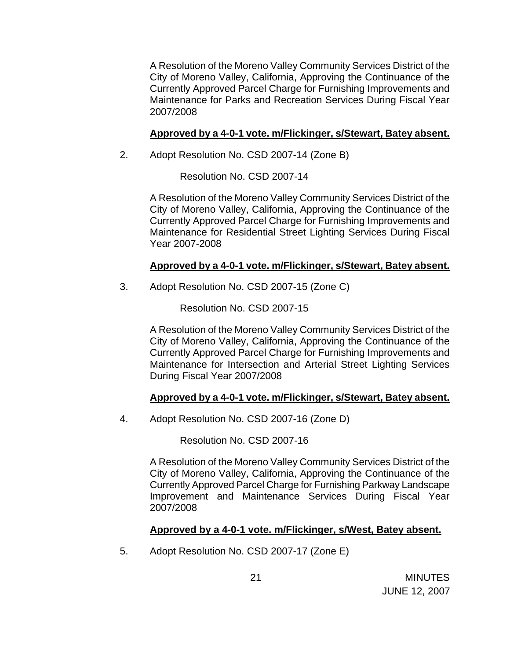A Resolution of the Moreno Valley Community Services District of the City of Moreno Valley, California, Approving the Continuance of the Currently Approved Parcel Charge for Furnishing Improvements and Maintenance for Parks and Recreation Services During Fiscal Year 2007/2008

# **Approved by a 4-0-1 vote. m/Flickinger, s/Stewart, Batey absent.**

2. Adopt Resolution No. CSD 2007-14 (Zone B)

Resolution No. CSD 2007-14

 A Resolution of the Moreno Valley Community Services District of the City of Moreno Valley, California, Approving the Continuance of the Currently Approved Parcel Charge for Furnishing Improvements and Maintenance for Residential Street Lighting Services During Fiscal Year 2007-2008

### **Approved by a 4-0-1 vote. m/Flickinger, s/Stewart, Batey absent.**

3. Adopt Resolution No. CSD 2007-15 (Zone C)

Resolution No. CSD 2007-15

 A Resolution of the Moreno Valley Community Services District of the City of Moreno Valley, California, Approving the Continuance of the Currently Approved Parcel Charge for Furnishing Improvements and Maintenance for Intersection and Arterial Street Lighting Services During Fiscal Year 2007/2008

# **Approved by a 4-0-1 vote. m/Flickinger, s/Stewart, Batey absent.**

4. Adopt Resolution No. CSD 2007-16 (Zone D)

Resolution No. CSD 2007-16

 A Resolution of the Moreno Valley Community Services District of the City of Moreno Valley, California, Approving the Continuance of the Currently Approved Parcel Charge for Furnishing Parkway Landscape Improvement and Maintenance Services During Fiscal Year 2007/2008

# **Approved by a 4-0-1 vote. m/Flickinger, s/West, Batey absent.**

5. Adopt Resolution No. CSD 2007-17 (Zone E)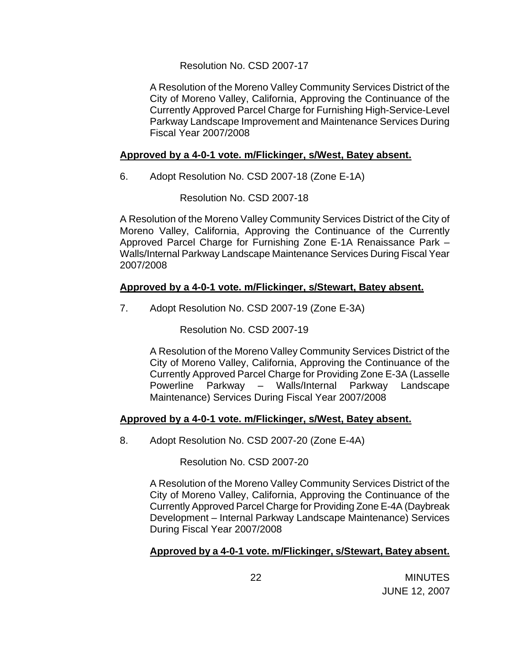### Resolution No. CSD 2007-17

 A Resolution of the Moreno Valley Community Services District of the City of Moreno Valley, California, Approving the Continuance of the Currently Approved Parcel Charge for Furnishing High-Service-Level Parkway Landscape Improvement and Maintenance Services During Fiscal Year 2007/2008

### **Approved by a 4-0-1 vote. m/Flickinger, s/West, Batey absent.**

6. Adopt Resolution No. CSD 2007-18 (Zone E-1A)

Resolution No. CSD 2007-18

 A Resolution of the Moreno Valley Community Services District of the City of Moreno Valley, California, Approving the Continuance of the Currently Approved Parcel Charge for Furnishing Zone E-1A Renaissance Park – Walls/Internal Parkway Landscape Maintenance Services During Fiscal Year 2007/2008

# **Approved by a 4-0-1 vote. m/Flickinger, s/Stewart, Batey absent.**

7. Adopt Resolution No. CSD 2007-19 (Zone E-3A)

Resolution No. CSD 2007-19

 A Resolution of the Moreno Valley Community Services District of the City of Moreno Valley, California, Approving the Continuance of the Currently Approved Parcel Charge for Providing Zone E-3A (Lasselle Powerline Parkway – Walls/Internal Parkway Landscape Maintenance) Services During Fiscal Year 2007/2008

### **Approved by a 4-0-1 vote. m/Flickinger, s/West, Batey absent.**

8. Adopt Resolution No. CSD 2007-20 (Zone E-4A)

Resolution No. CSD 2007-20

 A Resolution of the Moreno Valley Community Services District of the City of Moreno Valley, California, Approving the Continuance of the Currently Approved Parcel Charge for Providing Zone E-4A (Daybreak Development – Internal Parkway Landscape Maintenance) Services During Fiscal Year 2007/2008

### **Approved by a 4-0-1 vote. m/Flickinger, s/Stewart, Batey absent.**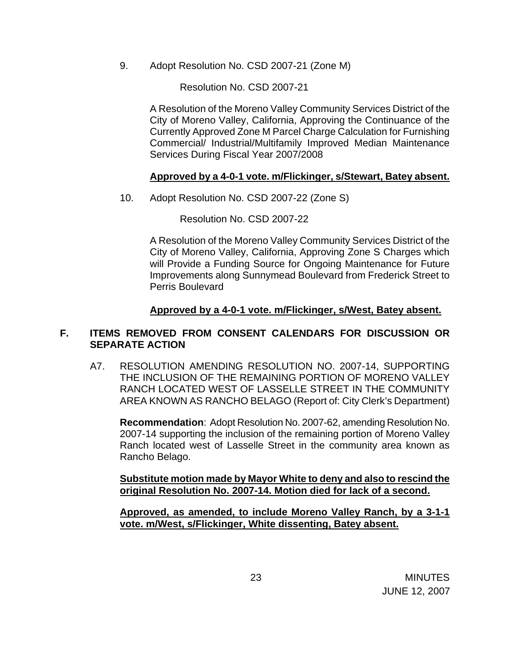9. Adopt Resolution No. CSD 2007-21 (Zone M)

Resolution No. CSD 2007-21

 A Resolution of the Moreno Valley Community Services District of the City of Moreno Valley, California, Approving the Continuance of the Currently Approved Zone M Parcel Charge Calculation for Furnishing Commercial/ Industrial/Multifamily Improved Median Maintenance Services During Fiscal Year 2007/2008

### **Approved by a 4-0-1 vote. m/Flickinger, s/Stewart, Batey absent.**

10. Adopt Resolution No. CSD 2007-22 (Zone S)

Resolution No. CSD 2007-22

 A Resolution of the Moreno Valley Community Services District of the City of Moreno Valley, California, Approving Zone S Charges which will Provide a Funding Source for Ongoing Maintenance for Future Improvements along Sunnymead Boulevard from Frederick Street to Perris Boulevard

### **Approved by a 4-0-1 vote. m/Flickinger, s/West, Batey absent.**

### **F. ITEMS REMOVED FROM CONSENT CALENDARS FOR DISCUSSION OR SEPARATE ACTION**

A7. RESOLUTION AMENDING RESOLUTION NO. 2007-14, SUPPORTING THE INCLUSION OF THE REMAINING PORTION OF MORENO VALLEY RANCH LOCATED WEST OF LASSELLE STREET IN THE COMMUNITY AREA KNOWN AS RANCHO BELAGO (Report of: City Clerk's Department)

**Recommendation**: Adopt Resolution No. 2007-62, amending Resolution No. 2007-14 supporting the inclusion of the remaining portion of Moreno Valley Ranch located west of Lasselle Street in the community area known as Rancho Belago.

**Substitute motion made by Mayor White to deny and also to rescind the original Resolution No. 2007-14. Motion died for lack of a second.**

**Approved, as amended, to include Moreno Valley Ranch, by a 3-1-1 vote. m/West, s/Flickinger, White dissenting, Batey absent.**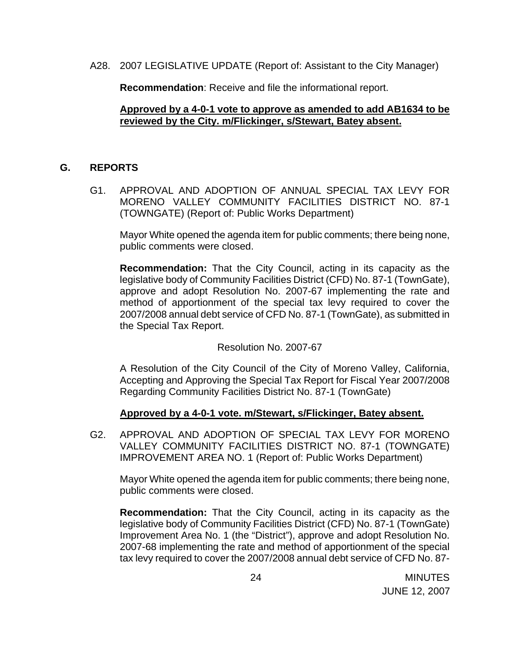A28. 2007 LEGISLATIVE UPDATE (Report of: Assistant to the City Manager)

**Recommendation**: Receive and file the informational report.

### **Approved by a 4-0-1 vote to approve as amended to add AB1634 to be reviewed by the City. m/Flickinger, s/Stewart, Batey absent.**

### **G. REPORTS**

G1. APPROVAL AND ADOPTION OF ANNUAL SPECIAL TAX LEVY FOR MORENO VALLEY COMMUNITY FACILITIES DISTRICT NO. 87-1 (TOWNGATE) (Report of: Public Works Department)

Mayor White opened the agenda item for public comments; there being none, public comments were closed.

**Recommendation:** That the City Council, acting in its capacity as the legislative body of Community Facilities District (CFD) No. 87-1 (TownGate), approve and adopt Resolution No. 2007-67 implementing the rate and method of apportionment of the special tax levy required to cover the 2007/2008 annual debt service of CFD No. 87-1 (TownGate), as submitted in the Special Tax Report.

### Resolution No. 2007-67

A Resolution of the City Council of the City of Moreno Valley, California, Accepting and Approving the Special Tax Report for Fiscal Year 2007/2008 Regarding Community Facilities District No. 87-1 (TownGate)

### **Approved by a 4-0-1 vote. m/Stewart, s/Flickinger, Batey absent.**

G2. APPROVAL AND ADOPTION OF SPECIAL TAX LEVY FOR MORENO VALLEY COMMUNITY FACILITIES DISTRICT NO. 87-1 (TOWNGATE) IMPROVEMENT AREA NO. 1 (Report of: Public Works Department)

Mayor White opened the agenda item for public comments; there being none, public comments were closed.

**Recommendation:** That the City Council, acting in its capacity as the legislative body of Community Facilities District (CFD) No. 87-1 (TownGate) Improvement Area No. 1 (the "District"), approve and adopt Resolution No. 2007-68 implementing the rate and method of apportionment of the special tax levy required to cover the 2007/2008 annual debt service of CFD No. 87-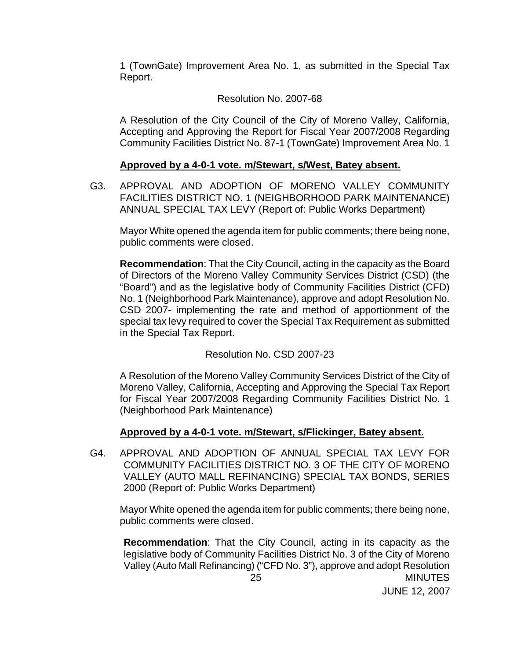1 (TownGate) Improvement Area No. 1, as submitted in the Special Tax Report.

### Resolution No. 2007-68

A Resolution of the City Council of the City of Moreno Valley, California, Accepting and Approving the Report for Fiscal Year 2007/2008 Regarding Community Facilities District No. 87-1 (TownGate) Improvement Area No. 1

### **Approved by a 4-0-1 vote. m/Stewart, s/West, Batey absent.**

G3. APPROVAL AND ADOPTION OF MORENO VALLEY COMMUNITY FACILITIES DISTRICT NO. 1 (NEIGHBORHOOD PARK MAINTENANCE) ANNUAL SPECIAL TAX LEVY (Report of: Public Works Department)

Mayor White opened the agenda item for public comments; there being none, public comments were closed.

 **Recommendation**: That the City Council, acting in the capacity as the Board of Directors of the Moreno Valley Community Services District (CSD) (the "Board") and as the legislative body of Community Facilities District (CFD) No. 1 (Neighborhood Park Maintenance), approve and adopt Resolution No. CSD 2007- implementing the rate and method of apportionment of the special tax levy required to cover the Special Tax Requirement as submitted in the Special Tax Report.

Resolution No. CSD 2007-23

 A Resolution of the Moreno Valley Community Services District of the City of Moreno Valley, California, Accepting and Approving the Special Tax Report for Fiscal Year 2007/2008 Regarding Community Facilities District No. 1 (Neighborhood Park Maintenance)

# **Approved by a 4-0-1 vote. m/Stewart, s/Flickinger, Batey absent.**

G4. APPROVAL AND ADOPTION OF ANNUAL SPECIAL TAX LEVY FOR COMMUNITY FACILITIES DISTRICT NO. 3 OF THE CITY OF MORENO VALLEY (AUTO MALL REFINANCING) SPECIAL TAX BONDS, SERIES 2000 (Report of: Public Works Department)

Mayor White opened the agenda item for public comments; there being none, public comments were closed.

 25 MINUTES **Recommendation**: That the City Council, acting in its capacity as the legislative body of Community Facilities District No. 3 of the City of Moreno Valley (Auto Mall Refinancing) ("CFD No. 3"), approve and adopt Resolution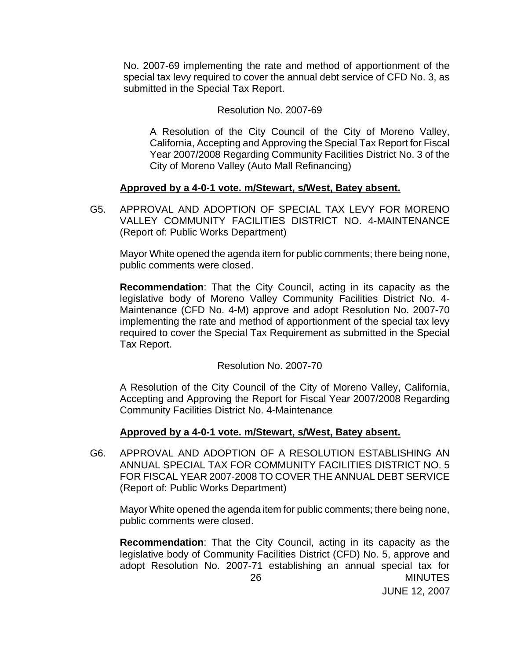No. 2007-69 implementing the rate and method of apportionment of the special tax levy required to cover the annual debt service of CFD No. 3, as submitted in the Special Tax Report.

#### Resolution No. 2007-69

 A Resolution of the City Council of the City of Moreno Valley, California, Accepting and Approving the Special Tax Report for Fiscal Year 2007/2008 Regarding Community Facilities District No. 3 of the City of Moreno Valley (Auto Mall Refinancing)

### **Approved by a 4-0-1 vote. m/Stewart, s/West, Batey absent.**

G5. APPROVAL AND ADOPTION OF SPECIAL TAX LEVY FOR MORENO VALLEY COMMUNITY FACILITIES DISTRICT NO. 4-MAINTENANCE (Report of: Public Works Department)

Mayor White opened the agenda item for public comments; there being none, public comments were closed.

 **Recommendation**: That the City Council, acting in its capacity as the legislative body of Moreno Valley Community Facilities District No. 4- Maintenance (CFD No. 4-M) approve and adopt Resolution No. 2007-70 implementing the rate and method of apportionment of the special tax levy required to cover the Special Tax Requirement as submitted in the Special Tax Report.

Resolution No. 2007-70

 A Resolution of the City Council of the City of Moreno Valley, California, Accepting and Approving the Report for Fiscal Year 2007/2008 Regarding Community Facilities District No. 4-Maintenance

### **Approved by a 4-0-1 vote. m/Stewart, s/West, Batey absent.**

G6. APPROVAL AND ADOPTION OF A RESOLUTION ESTABLISHING AN ANNUAL SPECIAL TAX FOR COMMUNITY FACILITIES DISTRICT NO. 5 FOR FISCAL YEAR 2007-2008 TO COVER THE ANNUAL DEBT SERVICE (Report of: Public Works Department)

Mayor White opened the agenda item for public comments; there being none, public comments were closed.

 26 MINUTES  **Recommendation**: That the City Council, acting in its capacity as the legislative body of Community Facilities District (CFD) No. 5, approve and adopt Resolution No. 2007-71 establishing an annual special tax for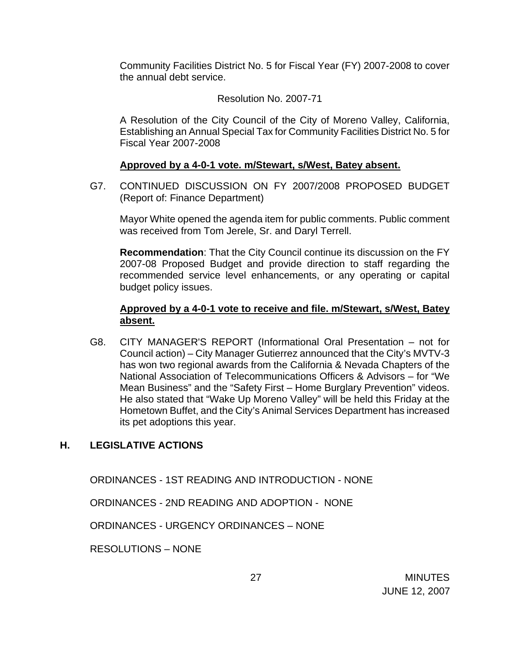Community Facilities District No. 5 for Fiscal Year (FY) 2007-2008 to cover the annual debt service.

### Resolution No. 2007-71

 A Resolution of the City Council of the City of Moreno Valley, California, Establishing an Annual Special Tax for Community Facilities District No. 5 for Fiscal Year 2007-2008

### **Approved by a 4-0-1 vote. m/Stewart, s/West, Batey absent.**

G7. CONTINUED DISCUSSION ON FY 2007/2008 PROPOSED BUDGET (Report of: Finance Department)

 Mayor White opened the agenda item for public comments. Public comment was received from Tom Jerele, Sr. and Daryl Terrell.

 **Recommendation**: That the City Council continue its discussion on the FY 2007-08 Proposed Budget and provide direction to staff regarding the recommended service level enhancements, or any operating or capital budget policy issues.

### **Approved by a 4-0-1 vote to receive and file. m/Stewart, s/West, Batey absent.**

G8. CITY MANAGER'S REPORT (Informational Oral Presentation – not for Council action) – City Manager Gutierrez announced that the City's MVTV-3 has won two regional awards from the California & Nevada Chapters of the National Association of Telecommunications Officers & Advisors – for "We Mean Business" and the "Safety First – Home Burglary Prevention" videos. He also stated that "Wake Up Moreno Valley" will be held this Friday at the Hometown Buffet, and the City's Animal Services Department has increased its pet adoptions this year.

# **H. LEGISLATIVE ACTIONS**

ORDINANCES - 1ST READING AND INTRODUCTION - NONE

ORDINANCES - 2ND READING AND ADOPTION - NONE

ORDINANCES - URGENCY ORDINANCES – NONE

RESOLUTIONS – NONE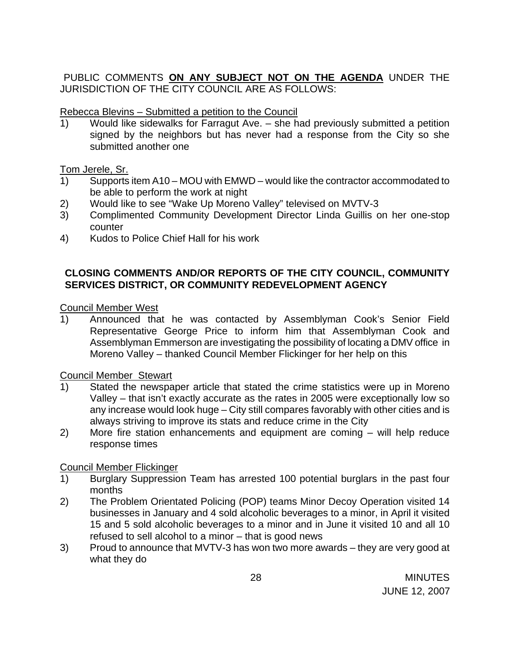# PUBLIC COMMENTS **ON ANY SUBJECT NOT ON THE AGENDA** UNDER THE JURISDICTION OF THE CITY COUNCIL ARE AS FOLLOWS:

### Rebecca Blevins – Submitted a petition to the Council

1) Would like sidewalks for Farragut Ave. – she had previously submitted a petition signed by the neighbors but has never had a response from the City so she submitted another one

### Tom Jerele, Sr.

- 1) Supports item A10 MOU with EMWD would like the contractor accommodated to be able to perform the work at night
- 2) Would like to see "Wake Up Moreno Valley" televised on MVTV-3
- 3) Complimented Community Development Director Linda Guillis on her one-stop counter
- 4) Kudos to Police Chief Hall for his work

# **CLOSING COMMENTS AND/OR REPORTS OF THE CITY COUNCIL, COMMUNITY SERVICES DISTRICT, OR COMMUNITY REDEVELOPMENT AGENCY**

Council Member West

1) Announced that he was contacted by Assemblyman Cook's Senior Field Representative George Price to inform him that Assemblyman Cook and Assemblyman Emmerson are investigating the possibility of locating a DMV office in Moreno Valley – thanked Council Member Flickinger for her help on this

Council Member Stewart

- 1) Stated the newspaper article that stated the crime statistics were up in Moreno Valley – that isn't exactly accurate as the rates in 2005 were exceptionally low so any increase would look huge – City still compares favorably with other cities and is always striving to improve its stats and reduce crime in the City
- 2) More fire station enhancements and equipment are coming will help reduce response times

# Council Member Flickinger

- 1) Burglary Suppression Team has arrested 100 potential burglars in the past four months
- 2) The Problem Orientated Policing (POP) teams Minor Decoy Operation visited 14 businesses in January and 4 sold alcoholic beverages to a minor, in April it visited 15 and 5 sold alcoholic beverages to a minor and in June it visited 10 and all 10 refused to sell alcohol to a minor – that is good news
- 3) Proud to announce that MVTV-3 has won two more awards they are very good at what they do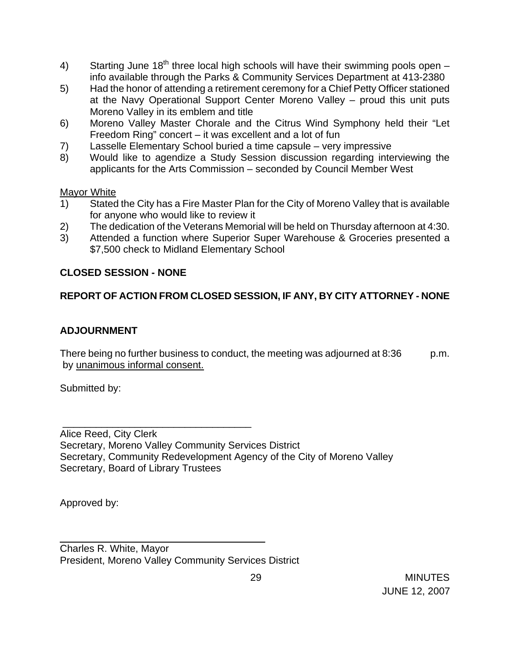- 4) Starting June 18<sup>th</sup> three local high schools will have their swimming pools open info available through the Parks & Community Services Department at 413-2380
- 5) Had the honor of attending a retirement ceremony for a Chief Petty Officer stationed at the Navy Operational Support Center Moreno Valley – proud this unit puts Moreno Valley in its emblem and title
- 6) Moreno Valley Master Chorale and the Citrus Wind Symphony held their "Let Freedom Ring" concert – it was excellent and a lot of fun
- 7) Lasselle Elementary School buried a time capsule very impressive
- 8) Would like to agendize a Study Session discussion regarding interviewing the applicants for the Arts Commission – seconded by Council Member West

# Mayor White

- 1) Stated the City has a Fire Master Plan for the City of Moreno Valley that is available for anyone who would like to review it
- 2) The dedication of the Veterans Memorial will be held on Thursday afternoon at 4:30.
- 3) Attended a function where Superior Super Warehouse & Groceries presented a \$7,500 check to Midland Elementary School

# **CLOSED SESSION - NONE**

# **REPORT OF ACTION FROM CLOSED SESSION, IF ANY, BY CITY ATTORNEY - NONE**

# **ADJOURNMENT**

There being no further business to conduct, the meeting was adjourned at 8:36 p.m. by unanimous informal consent.

Submitted by:

Alice Reed, City Clerk Secretary, Moreno Valley Community Services District Secretary, Community Redevelopment Agency of the City of Moreno Valley Secretary, Board of Library Trustees

Approved by:

Charles R. White, Mayor President, Moreno Valley Community Services District

\_\_\_\_\_\_\_\_\_\_\_\_\_\_\_\_\_\_\_\_\_\_\_\_\_\_\_\_\_\_\_\_\_\_\_\_\_

\_\_\_\_\_\_\_\_\_\_\_\_\_\_\_\_\_\_\_\_\_\_\_\_\_\_\_\_\_\_\_\_\_\_